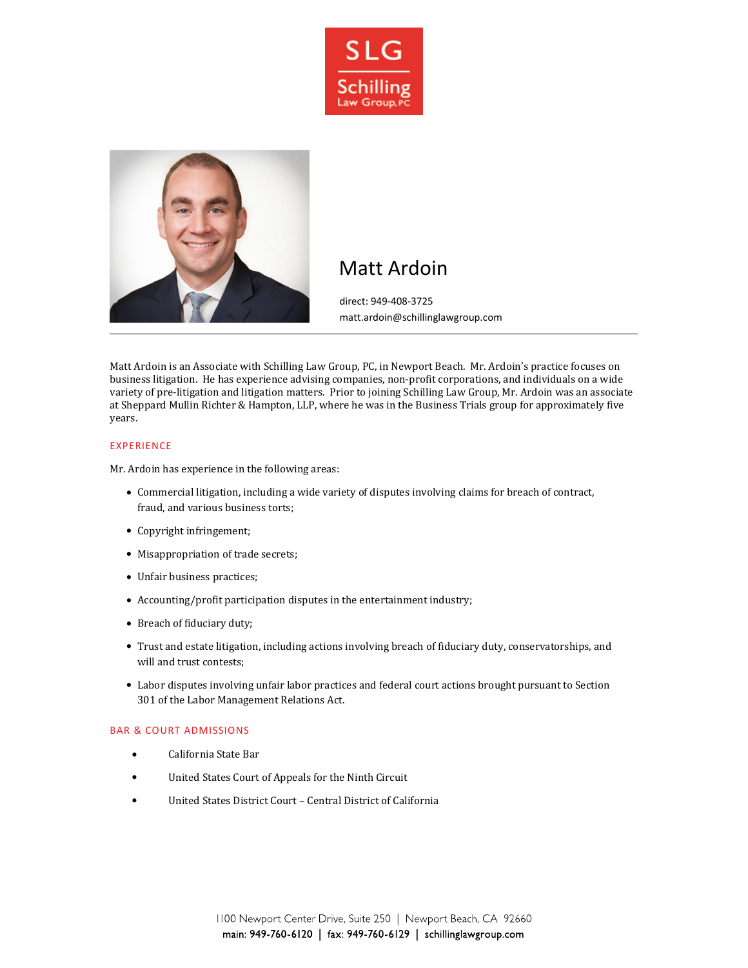



# Matt Ardoin

direct: 949-408-3725 matt.ardoin@schillinglawgroup.com

Matt Ardoin is an Associate with Schilling Law Group, PC, in Newport Beach. Mr. Ardoin's practice focuses on business litigation. He has experience advising companies, non-profit corporations, and individuals on a wide variety of pre-litigation and litigation matters. Prior to joining Schilling Law Group, Mr. Ardoin was an associate at Sheppard Mullin Richter & Hampton, LLP, where he was in the Business Trials group for approximately five years.

#### EXPERIENCE

Mr. Ardoin has experience in the following areas:

- Commercial litigation, including a wide variety of disputes involving claims for breach of contract, fraud, and various business torts;
- Copyright infringement;
- Misappropriation of trade secrets;
- Unfair business practices;
- Accounting/profit participation disputes in the entertainment industry;
- Breach of fiduciary duty;
- Trust and estate litigation, including actions involving breach of fiduciary duty, conservatorships, and will and trust contests;
- Labor disputes involving unfair labor practices and federal court actions brought pursuant to Section 301 of the Labor Management Relations Act.

#### BAR & COURT ADMISSIONS

- California State Bar
- United States Court of Appeals for the Ninth Circuit
- United States District Court Central District of California